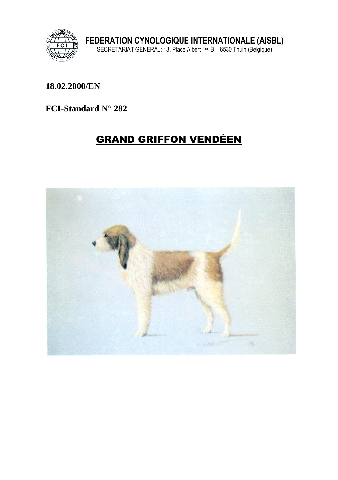

18.02.2000/EN

FCI-Standard N° 282

# **GRAND GRIFFON VENDÉEN**

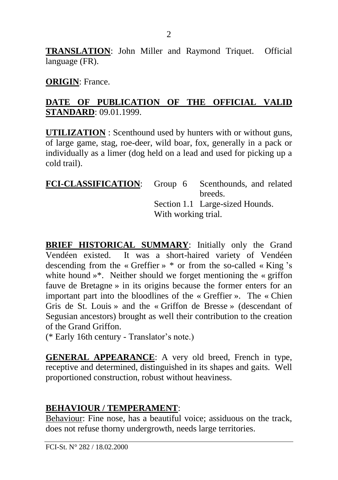**TRANSLATION**: John Miller and Raymond Triquet. Official language (FR).

**ORIGIN**: France.

#### **DATE OF PUBLICATION OF THE OFFICIAL VALID STANDARD**: 09.01.1999.

**UTILIZATION** : Scenthound used by hunters with or without guns, of large game, stag, roe-deer, wild boar, fox, generally in a pack or individually as a limer (dog held on a lead and used for picking up a cold trail).

| FCI-CLASSIFICATION: Group 6 Scenthounds, and related |  |                                 |
|------------------------------------------------------|--|---------------------------------|
|                                                      |  | breeds.                         |
|                                                      |  | Section 1.1 Large-sized Hounds. |
| With working trial.                                  |  |                                 |
|                                                      |  |                                 |

**BRIEF HISTORICAL SUMMARY**: Initially only the Grand Vendéen existed. It was a short-haired variety of Vendéen descending from the « Greffier » \* or from the so-called « King 's white hound »\*. Neither should we forget mentioning the « griffon fauve de Bretagne » in its origins because the former enters for an important part into the bloodlines of the « Greffier ». The « Chien Gris de St. Louis » and the « Griffon de Bresse » (descendant of Segusian ancestors) brought as well their contribution to the creation of the Grand Griffon.

(\* Early 16th century - Translator's note.)

**GENERAL APPEARANCE**: A very old breed, French in type, receptive and determined, distinguished in its shapes and gaits. Well proportioned construction, robust without heaviness.

### **BEHAVIOUR / TEMPERAMENT**:

Behaviour: Fine nose, has a beautiful voice; assiduous on the track, does not refuse thorny undergrowth, needs large territories.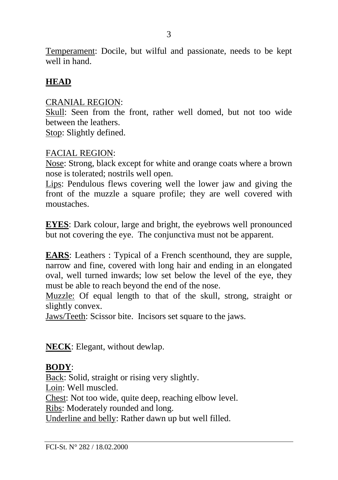Temperament: Docile, but wilful and passionate, needs to be kept well in hand.

### **HEAD**

#### CRANIAL REGION:

Skull: Seen from the front, rather well domed, but not too wide between the leathers.

Stop: Slightly defined.

#### FACIAL REGION:

Nose: Strong, black except for white and orange coats where a brown nose is tolerated; nostrils well open.

Lips: Pendulous flews covering well the lower jaw and giving the front of the muzzle a square profile; they are well covered with moustaches.

**EYES**: Dark colour, large and bright, the eyebrows well pronounced but not covering the eye. The conjunctiva must not be apparent.

**EARS**: Leathers : Typical of a French scenthound, they are supple, narrow and fine, covered with long hair and ending in an elongated oval, well turned inwards; low set below the level of the eye, they must be able to reach beyond the end of the nose.

Muzzle: Of equal length to that of the skull, strong, straight or slightly convex.

Jaws/Teeth: Scissor bite. Incisors set square to the jaws.

**NECK**: Elegant, without dewlap.

### **BODY**:

Back: Solid, straight or rising very slightly.

Loin: Well muscled.

Chest: Not too wide, quite deep, reaching elbow level.

Ribs: Moderately rounded and long.

Underline and belly: Rather dawn up but well filled.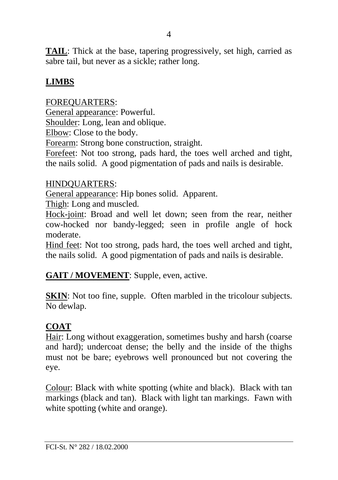**TAIL**: Thick at the base, tapering progressively, set high, carried as sabre tail, but never as a sickle; rather long.

### **LIMBS**

FOREQUARTERS: General appearance: Powerful. Shoulder: Long, lean and oblique. Elbow: Close to the body. Forearm: Strong bone construction, straight. Forefeet: Not too strong, pads hard, the toes well arched and tight, the nails solid. A good pigmentation of pads and nails is desirable.

### HINDQUARTERS:

General appearance: Hip bones solid. Apparent.

Thigh: Long and muscled.

Hock-joint: Broad and well let down; seen from the rear, neither cow-hocked nor bandy-legged; seen in profile angle of hock moderate.

Hind feet: Not too strong, pads hard, the toes well arched and tight, the nails solid. A good pigmentation of pads and nails is desirable.

### **GAIT / MOVEMENT**: Supple, even, active.

**SKIN:** Not too fine, supple. Often marbled in the tricolour subjects. No dewlap.

### **COAT**

Hair: Long without exaggeration, sometimes bushy and harsh (coarse and hard); undercoat dense; the belly and the inside of the thighs must not be bare; eyebrows well pronounced but not covering the eye.

Colour: Black with white spotting (white and black). Black with tan markings (black and tan). Black with light tan markings. Fawn with white spotting (white and orange).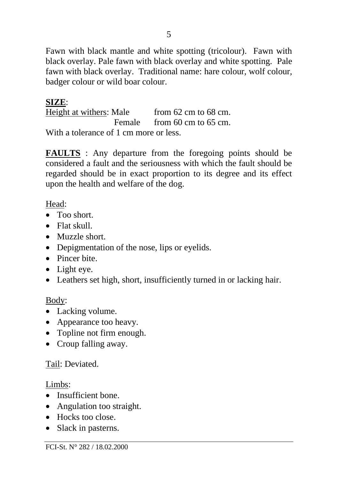Fawn with black mantle and white spotting (tricolour). Fawn with black overlay. Pale fawn with black overlay and white spotting. Pale fawn with black overlay. Traditional name: hare colour, wolf colour, badger colour or wild boar colour.

### **SIZE**:

Height at withers: Male from 62 cm to 68 cm. Female from 60 cm to 65 cm. With a tolerance of 1 cm more or less.

**FAULTS** : Any departure from the foregoing points should be considered a fault and the seriousness with which the fault should be regarded should be in exact proportion to its degree and its effect upon the health and welfare of the dog.

### Head:

- Too short.
- Flat skull.
- Muzzle short.
- Depigmentation of the nose, lips or eyelids.
- Pincer bite
- Light eye.
- Leathers set high, short, insufficiently turned in or lacking hair.

### Body:

- Lacking volume.
- Appearance too heavy.
- Topline not firm enough.
- Croup falling away.

### Tail: Deviated.

### Limbs:

- Insufficient bone.
- Angulation too straight.
- Hocks too close.
- Slack in pasterns.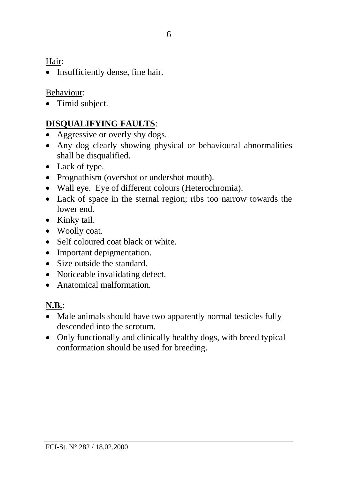Hair:

• Insufficiently dense, fine hair.

### Behaviour:

• Timid subject.

# **DISQUALIFYING FAULTS**:

- Aggressive or overly shy dogs.
- Any dog clearly showing physical or behavioural abnormalities shall be disqualified.
- Lack of type.
- Prognathism (overshot or undershot mouth).
- Wall eye. Eye of different colours (Heterochromia).
- Lack of space in the sternal region; ribs too narrow towards the lower end.
- Kinky tail.
- Woolly coat.
- Self coloured coat black or white.
- Important depigmentation.
- Size outside the standard.
- Noticeable invalidating defect.
- Anatomical malformation.

## **N.B.**:

- Male animals should have two apparently normal testicles fully descended into the scrotum.
- Only functionally and clinically healthy dogs, with breed typical conformation should be used for breeding.